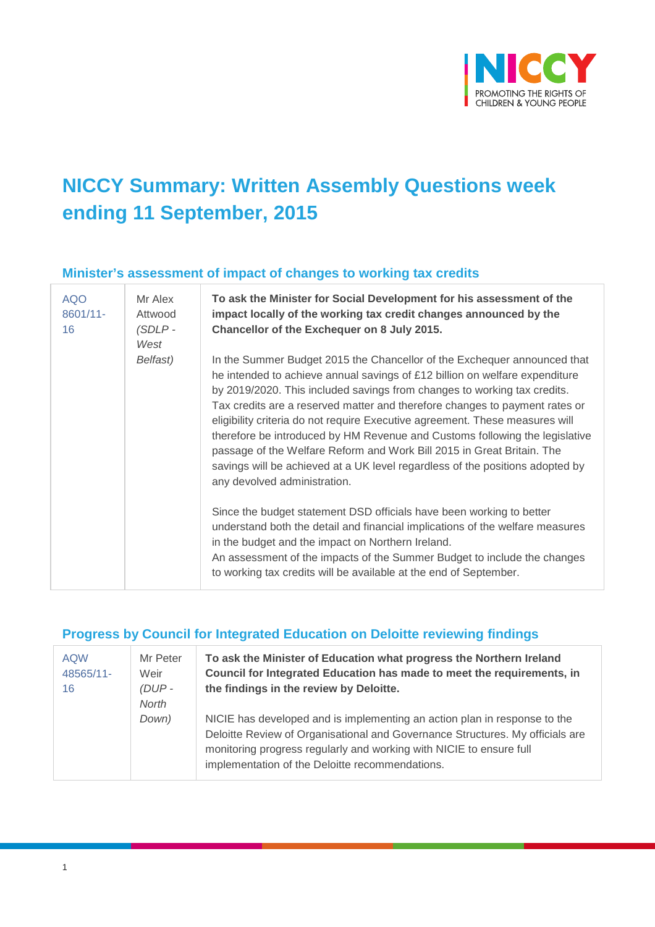

# **NICCY Summary: Written Assembly Questions week ending 11 September, 2015**

#### **Minister's assessment of impact of changes to working tax credits**

| <b>AQO</b><br>8601/11-<br>16 | Mr Alex<br>Attwood<br>$(SDLP -$<br>West | To ask the Minister for Social Development for his assessment of the<br>impact locally of the working tax credit changes announced by the<br>Chancellor of the Exchequer on 8 July 2015.                                                                                                                                                                                                                                                                                                                                                                                                                                                                                     |
|------------------------------|-----------------------------------------|------------------------------------------------------------------------------------------------------------------------------------------------------------------------------------------------------------------------------------------------------------------------------------------------------------------------------------------------------------------------------------------------------------------------------------------------------------------------------------------------------------------------------------------------------------------------------------------------------------------------------------------------------------------------------|
|                              | Belfast)                                | In the Summer Budget 2015 the Chancellor of the Exchequer announced that<br>he intended to achieve annual savings of £12 billion on welfare expenditure<br>by 2019/2020. This included savings from changes to working tax credits.<br>Tax credits are a reserved matter and therefore changes to payment rates or<br>eligibility criteria do not require Executive agreement. These measures will<br>therefore be introduced by HM Revenue and Customs following the legislative<br>passage of the Welfare Reform and Work Bill 2015 in Great Britain. The<br>savings will be achieved at a UK level regardless of the positions adopted by<br>any devolved administration. |
|                              |                                         | Since the budget statement DSD officials have been working to better<br>understand both the detail and financial implications of the welfare measures<br>in the budget and the impact on Northern Ireland.<br>An assessment of the impacts of the Summer Budget to include the changes<br>to working tax credits will be available at the end of September.                                                                                                                                                                                                                                                                                                                  |

#### **Progress by Council for Integrated Education on Deloitte reviewing findings**

| <b>AQW</b><br>48565/11-<br>16 | Mr Peter<br>Weir<br>$(DUP -$<br>North | To ask the Minister of Education what progress the Northern Ireland<br>Council for Integrated Education has made to meet the requirements, in<br>the findings in the review by Deloitte.                                                                                             |
|-------------------------------|---------------------------------------|--------------------------------------------------------------------------------------------------------------------------------------------------------------------------------------------------------------------------------------------------------------------------------------|
|                               | Down)                                 | NICIE has developed and is implementing an action plan in response to the<br>Deloitte Review of Organisational and Governance Structures. My officials are<br>monitoring progress regularly and working with NICIE to ensure full<br>implementation of the Deloitte recommendations. |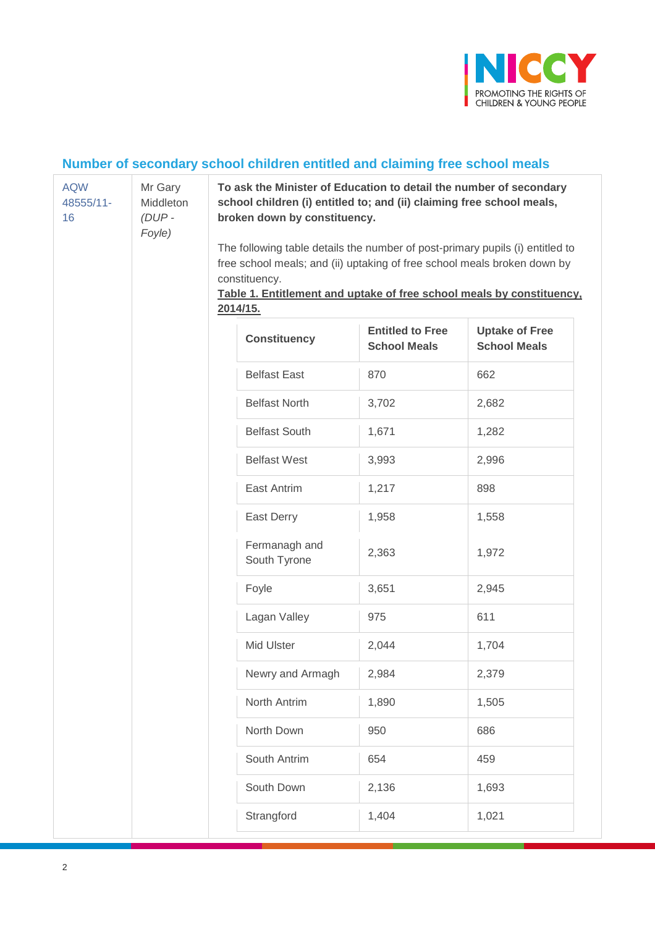

### **Number of secondary school children entitled and claiming free school meals**

| <b>AQW</b><br>48555/11-<br>16 | Mr Gary<br>Middleton<br>$(DUP -$<br>Foyle) |  | broken down by constituency.<br>constituency.<br>2014/15. | To ask the Minister of Education to detail the number of secondary<br>school children (i) entitled to; and (ii) claiming free school meals,<br>The following table details the number of post-primary pupils (i) entitled to<br>free school meals; and (ii) uptaking of free school meals broken down by<br>Table 1. Entitlement and uptake of free school meals by constituency, |                                              |  |
|-------------------------------|--------------------------------------------|--|-----------------------------------------------------------|-----------------------------------------------------------------------------------------------------------------------------------------------------------------------------------------------------------------------------------------------------------------------------------------------------------------------------------------------------------------------------------|----------------------------------------------|--|
|                               |                                            |  | <b>Constituency</b>                                       | <b>Entitled to Free</b><br><b>School Meals</b>                                                                                                                                                                                                                                                                                                                                    | <b>Uptake of Free</b><br><b>School Meals</b> |  |
|                               |                                            |  | <b>Belfast East</b>                                       | 870                                                                                                                                                                                                                                                                                                                                                                               | 662                                          |  |
|                               |                                            |  | <b>Belfast North</b>                                      | 3,702                                                                                                                                                                                                                                                                                                                                                                             | 2,682                                        |  |
|                               |                                            |  | <b>Belfast South</b>                                      | 1,671                                                                                                                                                                                                                                                                                                                                                                             | 1,282                                        |  |
|                               |                                            |  | <b>Belfast West</b>                                       | 3,993                                                                                                                                                                                                                                                                                                                                                                             | 2,996                                        |  |
|                               |                                            |  | East Antrim                                               | 1,217                                                                                                                                                                                                                                                                                                                                                                             | 898                                          |  |
|                               |                                            |  | East Derry                                                | 1,958                                                                                                                                                                                                                                                                                                                                                                             | 1,558                                        |  |
|                               |                                            |  | Fermanagh and<br>South Tyrone                             | 2,363                                                                                                                                                                                                                                                                                                                                                                             | 1,972                                        |  |
|                               |                                            |  | Foyle                                                     | 3,651                                                                                                                                                                                                                                                                                                                                                                             | 2,945                                        |  |
|                               |                                            |  | Lagan Valley                                              | 975                                                                                                                                                                                                                                                                                                                                                                               | 611                                          |  |
|                               |                                            |  | Mid Ulster                                                | 2,044                                                                                                                                                                                                                                                                                                                                                                             | 1,704                                        |  |
|                               |                                            |  | Newry and Armagh                                          | 2,984                                                                                                                                                                                                                                                                                                                                                                             | 2,379                                        |  |
|                               |                                            |  | North Antrim                                              | 1,890                                                                                                                                                                                                                                                                                                                                                                             | 1,505                                        |  |
|                               |                                            |  | North Down                                                | 950                                                                                                                                                                                                                                                                                                                                                                               | 686                                          |  |
|                               |                                            |  | South Antrim                                              | 654                                                                                                                                                                                                                                                                                                                                                                               | 459                                          |  |
|                               |                                            |  | South Down                                                | 2,136                                                                                                                                                                                                                                                                                                                                                                             | 1,693                                        |  |
|                               |                                            |  | Strangford                                                | 1,404                                                                                                                                                                                                                                                                                                                                                                             | 1,021                                        |  |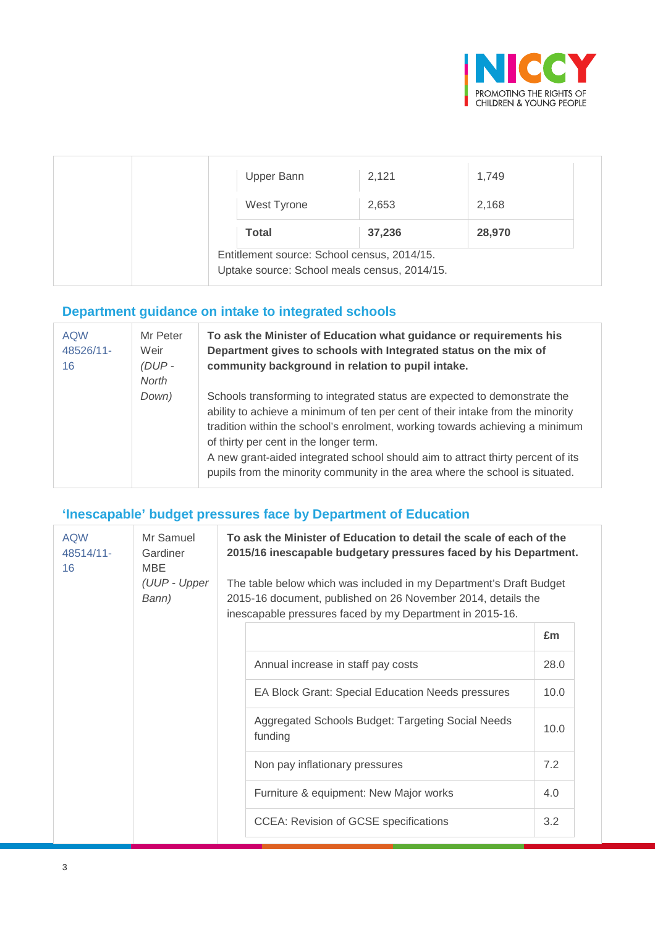

| Upper Bann                                                                                  | 2,121  | 1,749  |
|---------------------------------------------------------------------------------------------|--------|--------|
|                                                                                             |        |        |
| West Tyrone                                                                                 | 2,653  | 2,168  |
| <b>Total</b>                                                                                | 37,236 | 28,970 |
| Entitlement source: School census, 2014/15.<br>Uptake source: School meals census, 2014/15. |        |        |

### **Department guidance on intake to integrated schools**

| <b>AQW</b><br>48526/11-<br>16 | Mr Peter<br>Weir<br>$(DUP -$<br>North | To ask the Minister of Education what guidance or requirements his<br>Department gives to schools with Integrated status on the mix of<br>community background in relation to pupil intake.                                                                                                                                                                                                                                                              |
|-------------------------------|---------------------------------------|----------------------------------------------------------------------------------------------------------------------------------------------------------------------------------------------------------------------------------------------------------------------------------------------------------------------------------------------------------------------------------------------------------------------------------------------------------|
|                               | Down)                                 | Schools transforming to integrated status are expected to demonstrate the<br>ability to achieve a minimum of ten per cent of their intake from the minority<br>tradition within the school's enrolment, working towards achieving a minimum<br>of thirty per cent in the longer term.<br>A new grant-aided integrated school should aim to attract thirty percent of its<br>pupils from the minority community in the area where the school is situated. |

### **'Inescapable' budget pressures face by Department of Education**

| <b>AQW</b><br>48514/11-<br>16 | Mr Samuel<br>Gardiner<br><b>MBE</b><br>(UUP - Upper<br>Bann) | 2015-16 document, published on 26 November 2014, details the<br>inescapable pressures faced by my Department in 2015-16. | To ask the Minister of Education to detail the scale of each of the<br>2015/16 inescapable budgetary pressures faced by his Department.<br>The table below which was included in my Department's Draft Budget |      |
|-------------------------------|--------------------------------------------------------------|--------------------------------------------------------------------------------------------------------------------------|---------------------------------------------------------------------------------------------------------------------------------------------------------------------------------------------------------------|------|
|                               |                                                              |                                                                                                                          |                                                                                                                                                                                                               | £m   |
|                               |                                                              |                                                                                                                          | Annual increase in staff pay costs                                                                                                                                                                            | 28.0 |
|                               |                                                              |                                                                                                                          | <b>EA Block Grant: Special Education Needs pressures</b>                                                                                                                                                      | 10.0 |
|                               |                                                              |                                                                                                                          | Aggregated Schools Budget: Targeting Social Needs<br>funding                                                                                                                                                  | 10.0 |
|                               |                                                              |                                                                                                                          | Non pay inflationary pressures                                                                                                                                                                                | 7.2  |
|                               |                                                              |                                                                                                                          | Furniture & equipment: New Major works                                                                                                                                                                        | 4.0  |
|                               |                                                              |                                                                                                                          | <b>CCEA: Revision of GCSE specifications</b>                                                                                                                                                                  | 3.2  |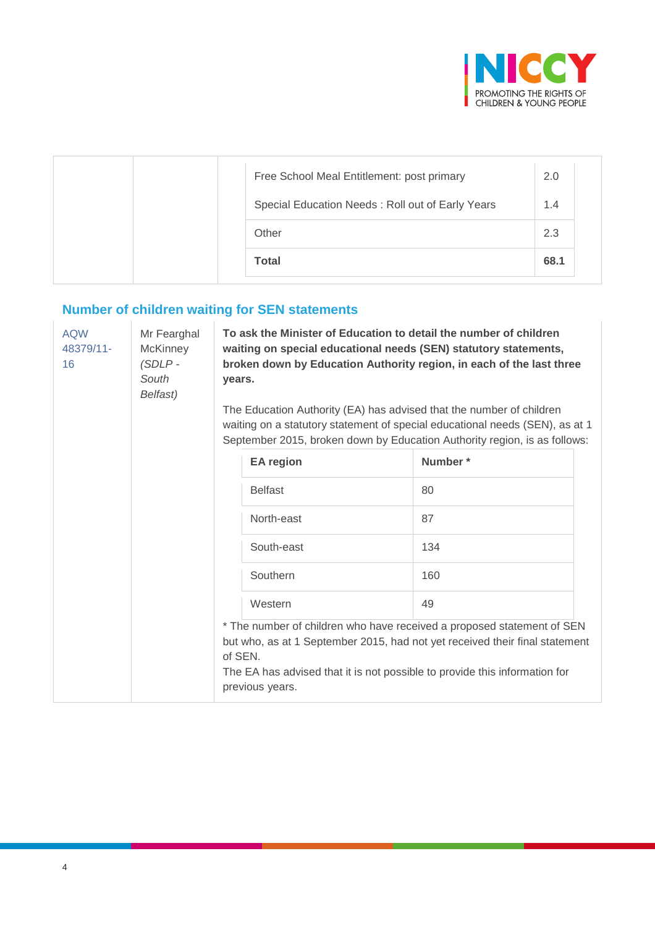

| Free School Meal Entitlement: post primary       | 2.0  |
|--------------------------------------------------|------|
| Special Education Needs: Roll out of Early Years | 1.4  |
| Other                                            | 2.3  |
| <b>Total</b>                                     | 68.1 |

## **Number of children waiting for SEN statements**

| <b>AQW</b><br>Mr Fearghal<br>48379/11-<br><b>McKinney</b><br>$(SDLP -$<br>16<br>South<br>Belfast) |  | vears.                     | To ask the Minister of Education to detail the number of children<br>waiting on special educational needs (SEN) statutory statements,<br>broken down by Education Authority region, in each of the last three<br>The Education Authority (EA) has advised that the number of children<br>waiting on a statutory statement of special educational needs (SEN), as at 1<br>September 2015, broken down by Education Authority region, is as follows: |  |
|---------------------------------------------------------------------------------------------------|--|----------------------------|----------------------------------------------------------------------------------------------------------------------------------------------------------------------------------------------------------------------------------------------------------------------------------------------------------------------------------------------------------------------------------------------------------------------------------------------------|--|
|                                                                                                   |  | <b>EA</b> region           | Number*                                                                                                                                                                                                                                                                                                                                                                                                                                            |  |
|                                                                                                   |  | <b>Belfast</b>             | 80                                                                                                                                                                                                                                                                                                                                                                                                                                                 |  |
|                                                                                                   |  | North-east                 | 87                                                                                                                                                                                                                                                                                                                                                                                                                                                 |  |
|                                                                                                   |  | South-east                 | 134                                                                                                                                                                                                                                                                                                                                                                                                                                                |  |
|                                                                                                   |  | Southern                   | 160                                                                                                                                                                                                                                                                                                                                                                                                                                                |  |
|                                                                                                   |  | Western                    | 49                                                                                                                                                                                                                                                                                                                                                                                                                                                 |  |
|                                                                                                   |  | of SEN.<br>previous years. | * The number of children who have received a proposed statement of SEN<br>but who, as at 1 September 2015, had not yet received their final statement<br>The EA has advised that it is not possible to provide this information for                                                                                                                                                                                                                |  |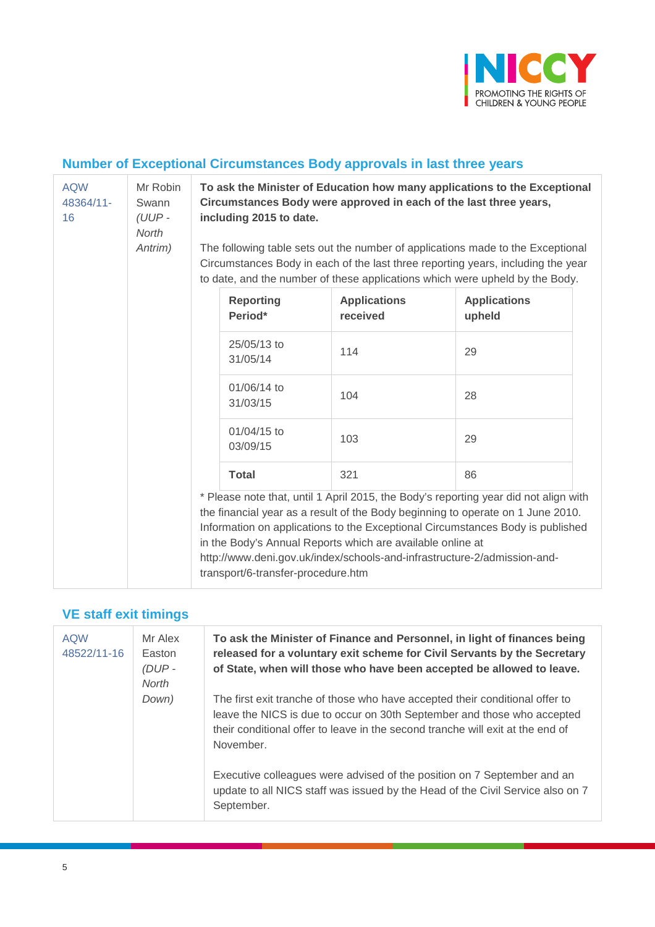

### **Number of Exceptional Circumstances Body approvals in last three years**

| <b>AQW</b><br>48364/11-<br>16 | Mr Robin<br>Swann<br>$(UUP -$<br>North<br>Antrim) | To ask the Minister of Education how many applications to the Exceptional<br>Circumstances Body were approved in each of the last three years,<br>including 2015 to date.<br>The following table sets out the number of applications made to the Exceptional |                                                                                                                                        |                                                                                                                                                                                                                                                           |  |  |
|-------------------------------|---------------------------------------------------|--------------------------------------------------------------------------------------------------------------------------------------------------------------------------------------------------------------------------------------------------------------|----------------------------------------------------------------------------------------------------------------------------------------|-----------------------------------------------------------------------------------------------------------------------------------------------------------------------------------------------------------------------------------------------------------|--|--|
|                               |                                                   | Circumstances Body in each of the last three reporting years, including the year<br>to date, and the number of these applications which were upheld by the Body.                                                                                             |                                                                                                                                        |                                                                                                                                                                                                                                                           |  |  |
|                               |                                                   | <b>Reporting</b><br>Period*                                                                                                                                                                                                                                  | <b>Applications</b><br>received                                                                                                        | <b>Applications</b><br>upheld                                                                                                                                                                                                                             |  |  |
|                               |                                                   | 25/05/13 to<br>31/05/14                                                                                                                                                                                                                                      | 114                                                                                                                                    | 29                                                                                                                                                                                                                                                        |  |  |
|                               |                                                   | 01/06/14 to<br>31/03/15                                                                                                                                                                                                                                      | 104                                                                                                                                    | 28                                                                                                                                                                                                                                                        |  |  |
|                               |                                                   | 01/04/15 to<br>03/09/15                                                                                                                                                                                                                                      | 103                                                                                                                                    | 29                                                                                                                                                                                                                                                        |  |  |
|                               |                                                   | <b>Total</b>                                                                                                                                                                                                                                                 | 321                                                                                                                                    | 86                                                                                                                                                                                                                                                        |  |  |
|                               |                                                   | transport/6-transfer-procedure.htm                                                                                                                                                                                                                           | in the Body's Annual Reports which are available online at<br>http://www.deni.gov.uk/index/schools-and-infrastructure-2/admission-and- | * Please note that, until 1 April 2015, the Body's reporting year did not align with<br>the financial year as a result of the Body beginning to operate on 1 June 2010.<br>Information on applications to the Exceptional Circumstances Body is published |  |  |

### **VE staff exit timings**

| <b>AQW</b><br>48522/11-16 | Mr Alex<br>Easton<br>(DUP-<br>North | To ask the Minister of Finance and Personnel, in light of finances being<br>released for a voluntary exit scheme for Civil Servants by the Secretary<br>of State, when will those who have been accepted be allowed to leave.                          |
|---------------------------|-------------------------------------|--------------------------------------------------------------------------------------------------------------------------------------------------------------------------------------------------------------------------------------------------------|
|                           | Down)                               | The first exit tranche of those who have accepted their conditional offer to<br>leave the NICS is due to occur on 30th September and those who accepted<br>their conditional offer to leave in the second tranche will exit at the end of<br>November. |
|                           |                                     | Executive colleagues were advised of the position on 7 September and an<br>update to all NICS staff was issued by the Head of the Civil Service also on 7<br>September.                                                                                |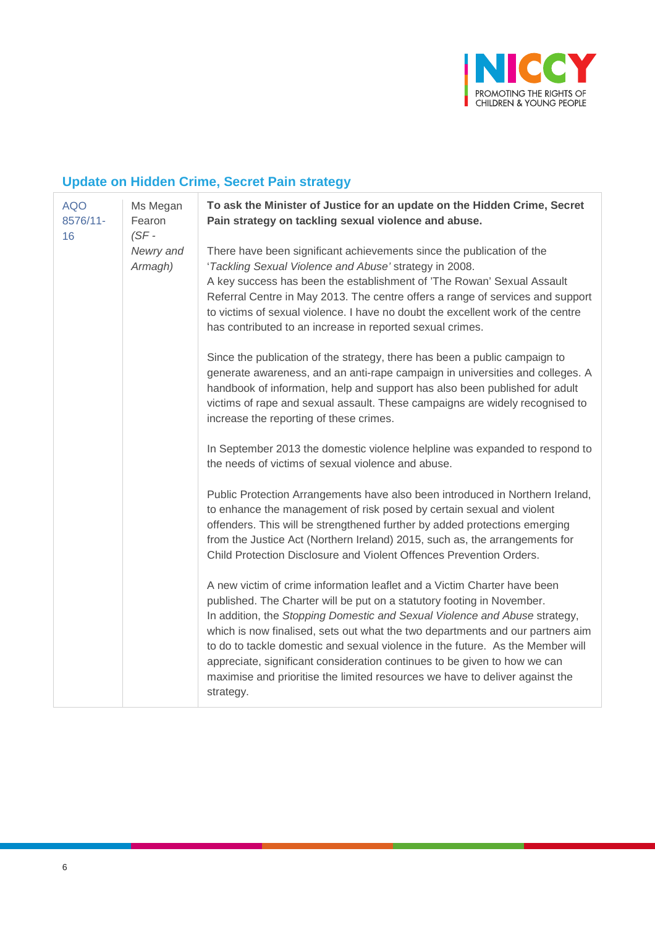

### **Update on Hidden Crime, Secret Pain strategy**

| <b>AQO</b><br>8576/11-<br>16 | Ms Megan<br>Fearon<br>$(SF -$<br>Newry and<br>Armagh) | To ask the Minister of Justice for an update on the Hidden Crime, Secret<br>Pain strategy on tackling sexual violence and abuse.                                                                                                                                                                                                                                                                                                                                                                                                                                               |
|------------------------------|-------------------------------------------------------|--------------------------------------------------------------------------------------------------------------------------------------------------------------------------------------------------------------------------------------------------------------------------------------------------------------------------------------------------------------------------------------------------------------------------------------------------------------------------------------------------------------------------------------------------------------------------------|
|                              |                                                       | There have been significant achievements since the publication of the<br>'Tackling Sexual Violence and Abuse' strategy in 2008.<br>A key success has been the establishment of 'The Rowan' Sexual Assault<br>Referral Centre in May 2013. The centre offers a range of services and support<br>to victims of sexual violence. I have no doubt the excellent work of the centre<br>has contributed to an increase in reported sexual crimes.                                                                                                                                    |
|                              |                                                       | Since the publication of the strategy, there has been a public campaign to<br>generate awareness, and an anti-rape campaign in universities and colleges. A<br>handbook of information, help and support has also been published for adult<br>victims of rape and sexual assault. These campaigns are widely recognised to<br>increase the reporting of these crimes.                                                                                                                                                                                                          |
|                              |                                                       | In September 2013 the domestic violence helpline was expanded to respond to<br>the needs of victims of sexual violence and abuse.                                                                                                                                                                                                                                                                                                                                                                                                                                              |
|                              |                                                       | Public Protection Arrangements have also been introduced in Northern Ireland,<br>to enhance the management of risk posed by certain sexual and violent<br>offenders. This will be strengthened further by added protections emerging<br>from the Justice Act (Northern Ireland) 2015, such as, the arrangements for<br>Child Protection Disclosure and Violent Offences Prevention Orders.                                                                                                                                                                                     |
|                              |                                                       | A new victim of crime information leaflet and a Victim Charter have been<br>published. The Charter will be put on a statutory footing in November.<br>In addition, the Stopping Domestic and Sexual Violence and Abuse strategy,<br>which is now finalised, sets out what the two departments and our partners aim<br>to do to tackle domestic and sexual violence in the future. As the Member will<br>appreciate, significant consideration continues to be given to how we can<br>maximise and prioritise the limited resources we have to deliver against the<br>strategy. |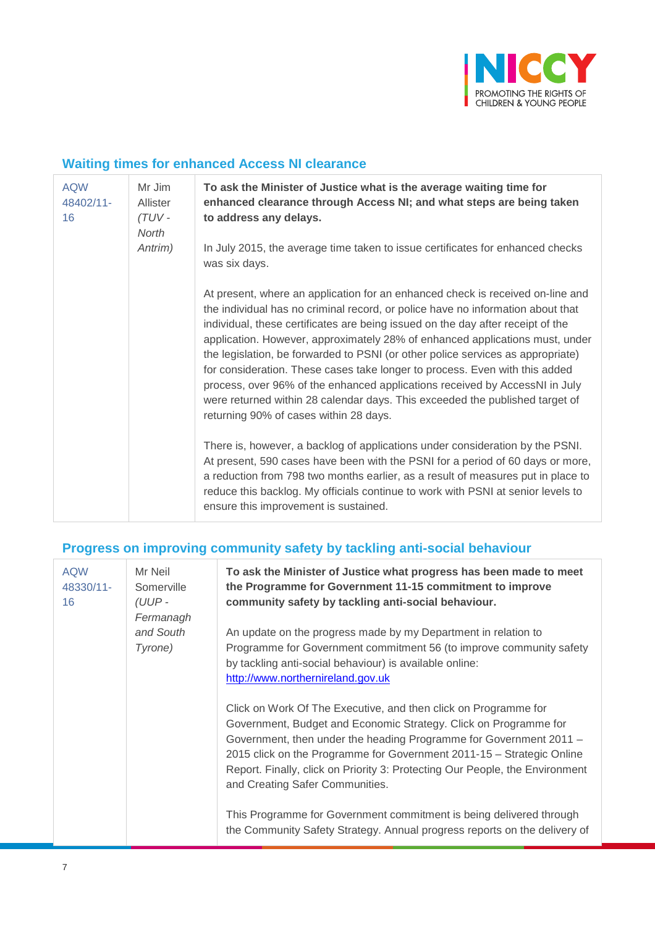

### **Waiting times for enhanced Access NI clearance**

| <b>AQW</b><br>Mr Jim<br>48402/11-<br><b>Allister</b><br>(TUV -<br>16<br>North<br>Antrim) |                                                                                                 | To ask the Minister of Justice what is the average waiting time for<br>enhanced clearance through Access NI; and what steps are being taken<br>to address any delays.                                                                                                                                                                                                                                                                                                                                                                                                                                                                                                                                           |
|------------------------------------------------------------------------------------------|-------------------------------------------------------------------------------------------------|-----------------------------------------------------------------------------------------------------------------------------------------------------------------------------------------------------------------------------------------------------------------------------------------------------------------------------------------------------------------------------------------------------------------------------------------------------------------------------------------------------------------------------------------------------------------------------------------------------------------------------------------------------------------------------------------------------------------|
|                                                                                          | In July 2015, the average time taken to issue certificates for enhanced checks<br>was six days. |                                                                                                                                                                                                                                                                                                                                                                                                                                                                                                                                                                                                                                                                                                                 |
|                                                                                          |                                                                                                 | At present, where an application for an enhanced check is received on-line and<br>the individual has no criminal record, or police have no information about that<br>individual, these certificates are being issued on the day after receipt of the<br>application. However, approximately 28% of enhanced applications must, under<br>the legislation, be forwarded to PSNI (or other police services as appropriate)<br>for consideration. These cases take longer to process. Even with this added<br>process, over 96% of the enhanced applications received by AccessNI in July<br>were returned within 28 calendar days. This exceeded the published target of<br>returning 90% of cases within 28 days. |
|                                                                                          |                                                                                                 | There is, however, a backlog of applications under consideration by the PSNI.<br>At present, 590 cases have been with the PSNI for a period of 60 days or more,<br>a reduction from 798 two months earlier, as a result of measures put in place to<br>reduce this backlog. My officials continue to work with PSNI at senior levels to<br>ensure this improvement is sustained.                                                                                                                                                                                                                                                                                                                                |

### **Progress on improving community safety by tackling anti-social behaviour**

| <b>AQW</b><br>48330/11-<br>16 | Mr Neil<br>Somerville<br>(UUP-<br>Fermanagh<br>and South<br>Tyrone) | To ask the Minister of Justice what progress has been made to meet<br>the Programme for Government 11-15 commitment to improve<br>community safety by tackling anti-social behaviour.                                                                                                                                                                                                                 |
|-------------------------------|---------------------------------------------------------------------|-------------------------------------------------------------------------------------------------------------------------------------------------------------------------------------------------------------------------------------------------------------------------------------------------------------------------------------------------------------------------------------------------------|
|                               |                                                                     | An update on the progress made by my Department in relation to<br>Programme for Government commitment 56 (to improve community safety<br>by tackling anti-social behaviour) is available online:<br>http://www.northernireland.gov.uk                                                                                                                                                                 |
|                               |                                                                     | Click on Work Of The Executive, and then click on Programme for<br>Government, Budget and Economic Strategy. Click on Programme for<br>Government, then under the heading Programme for Government 2011 -<br>2015 click on the Programme for Government 2011-15 - Strategic Online<br>Report. Finally, click on Priority 3: Protecting Our People, the Environment<br>and Creating Safer Communities. |
|                               |                                                                     | This Programme for Government commitment is being delivered through<br>the Community Safety Strategy. Annual progress reports on the delivery of                                                                                                                                                                                                                                                      |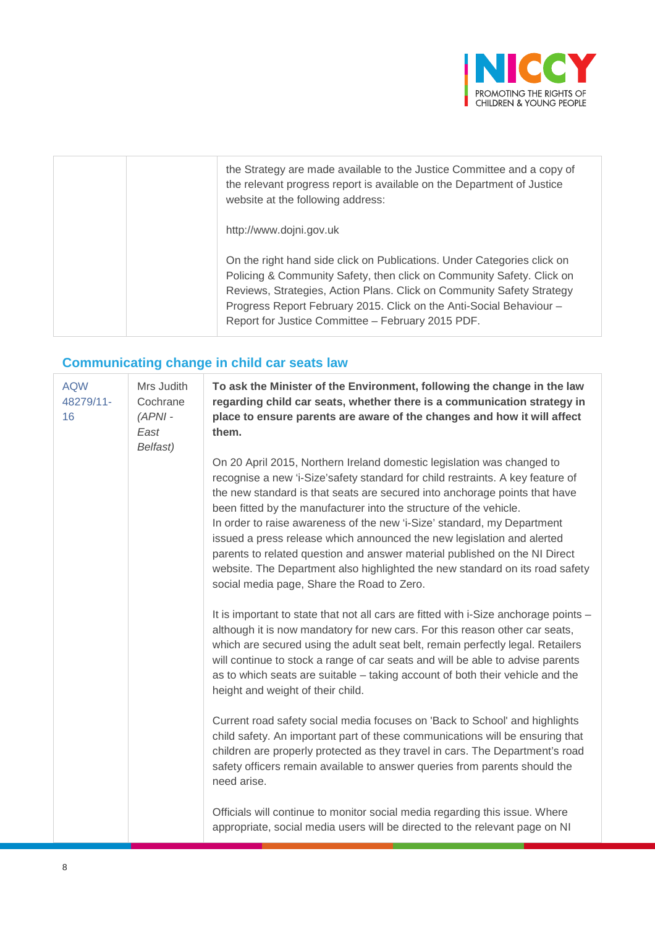

| the Strategy are made available to the Justice Committee and a copy of<br>the relevant progress report is available on the Department of Justice<br>website at the following address:                                                                                                                                                                 |
|-------------------------------------------------------------------------------------------------------------------------------------------------------------------------------------------------------------------------------------------------------------------------------------------------------------------------------------------------------|
| http://www.dojni.gov.uk                                                                                                                                                                                                                                                                                                                               |
| On the right hand side click on Publications. Under Categories click on<br>Policing & Community Safety, then click on Community Safety. Click on<br>Reviews, Strategies, Action Plans. Click on Community Safety Strategy<br>Progress Report February 2015. Click on the Anti-Social Behaviour -<br>Report for Justice Committee - February 2015 PDF. |

## **Communicating change in child car seats law**

| <b>AQW</b><br>48279/11-<br>16 | Mrs Judith<br>Cochrane<br>$(APNI -$<br>East<br>Belfast) | To ask the Minister of the Environment, following the change in the law<br>regarding child car seats, whether there is a communication strategy in<br>place to ensure parents are aware of the changes and how it will affect<br>them.                                                                                                                                                                                                                                                                                                                                                                                                                                        |
|-------------------------------|---------------------------------------------------------|-------------------------------------------------------------------------------------------------------------------------------------------------------------------------------------------------------------------------------------------------------------------------------------------------------------------------------------------------------------------------------------------------------------------------------------------------------------------------------------------------------------------------------------------------------------------------------------------------------------------------------------------------------------------------------|
|                               |                                                         | On 20 April 2015, Northern Ireland domestic legislation was changed to<br>recognise a new 'i-Size'safety standard for child restraints. A key feature of<br>the new standard is that seats are secured into anchorage points that have<br>been fitted by the manufacturer into the structure of the vehicle.<br>In order to raise awareness of the new 'i-Size' standard, my Department<br>issued a press release which announced the new legislation and alerted<br>parents to related question and answer material published on the NI Direct<br>website. The Department also highlighted the new standard on its road safety<br>social media page, Share the Road to Zero. |
|                               |                                                         | It is important to state that not all cars are fitted with i-Size anchorage points -<br>although it is now mandatory for new cars. For this reason other car seats,<br>which are secured using the adult seat belt, remain perfectly legal. Retailers<br>will continue to stock a range of car seats and will be able to advise parents<br>as to which seats are suitable - taking account of both their vehicle and the<br>height and weight of their child.                                                                                                                                                                                                                 |
|                               |                                                         | Current road safety social media focuses on 'Back to School' and highlights<br>child safety. An important part of these communications will be ensuring that<br>children are properly protected as they travel in cars. The Department's road<br>safety officers remain available to answer queries from parents should the<br>need arise.                                                                                                                                                                                                                                                                                                                                    |
|                               |                                                         | Officials will continue to monitor social media regarding this issue. Where<br>appropriate, social media users will be directed to the relevant page on NI                                                                                                                                                                                                                                                                                                                                                                                                                                                                                                                    |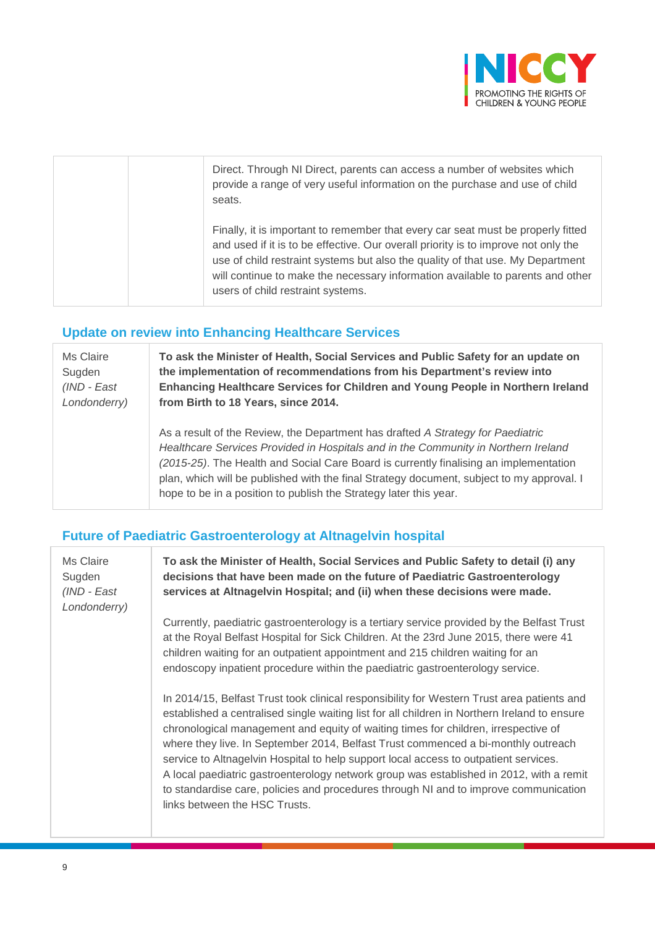

|  | Direct. Through NI Direct, parents can access a number of websites which<br>provide a range of very useful information on the purchase and use of child<br>seats.                                                                                                                                                                                                               |
|--|---------------------------------------------------------------------------------------------------------------------------------------------------------------------------------------------------------------------------------------------------------------------------------------------------------------------------------------------------------------------------------|
|  | Finally, it is important to remember that every car seat must be properly fitted<br>and used if it is to be effective. Our overall priority is to improve not only the<br>use of child restraint systems but also the quality of that use. My Department<br>will continue to make the necessary information available to parents and other<br>users of child restraint systems. |

#### **Update on review into Enhancing Healthcare Services**

| Ms Claire    | To ask the Minister of Health, Social Services and Public Safety for an update on                                                                                                                                                                                                                                                                                                                                                |  |
|--------------|----------------------------------------------------------------------------------------------------------------------------------------------------------------------------------------------------------------------------------------------------------------------------------------------------------------------------------------------------------------------------------------------------------------------------------|--|
| Sugden       | the implementation of recommendations from his Department's review into                                                                                                                                                                                                                                                                                                                                                          |  |
| (IND - East  | Enhancing Healthcare Services for Children and Young People in Northern Ireland                                                                                                                                                                                                                                                                                                                                                  |  |
| Londonderry) | from Birth to 18 Years, since 2014.                                                                                                                                                                                                                                                                                                                                                                                              |  |
|              | As a result of the Review, the Department has drafted A Strategy for Paediatric<br>Healthcare Services Provided in Hospitals and in the Community in Northern Ireland<br>(2015-25). The Health and Social Care Board is currently finalising an implementation<br>plan, which will be published with the final Strategy document, subject to my approval. I<br>hope to be in a position to publish the Strategy later this year. |  |

#### **Future of Paediatric Gastroenterology at Altnagelvin hospital**

Ms Claire Sugden *(IND - East Londonderry)* **To ask the Minister of Health, Social Services and Public Safety to detail (i) any decisions that have been made on the future of Paediatric Gastroenterology services at Altnagelvin Hospital; and (ii) when these decisions were made.** 

Currently, paediatric gastroenterology is a tertiary service provided by the Belfast Trust at the Royal Belfast Hospital for Sick Children. At the 23rd June 2015, there were 41 children waiting for an outpatient appointment and 215 children waiting for an endoscopy inpatient procedure within the paediatric gastroenterology service.

In 2014/15, Belfast Trust took clinical responsibility for Western Trust area patients and established a centralised single waiting list for all children in Northern Ireland to ensure chronological management and equity of waiting times for children, irrespective of where they live. In September 2014, Belfast Trust commenced a bi-monthly outreach service to Altnagelvin Hospital to help support local access to outpatient services. A local paediatric gastroenterology network group was established in 2012, with a remit to standardise care, policies and procedures through NI and to improve communication links between the HSC Trusts.